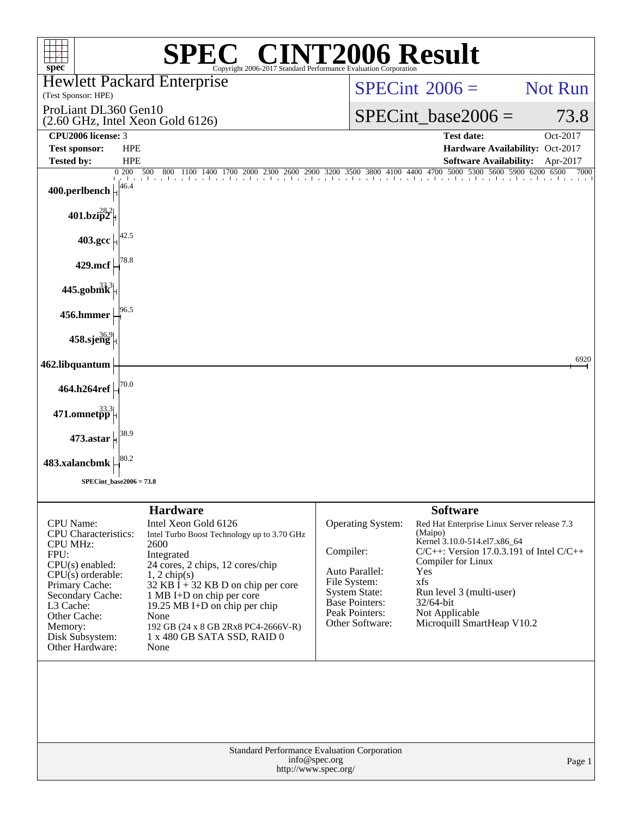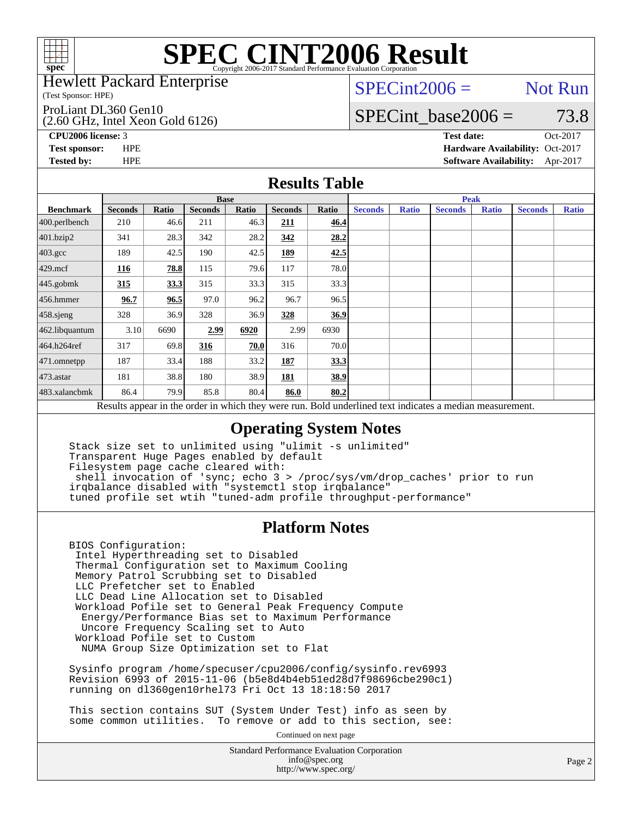

#### Hewlett Packard Enterprise

(Test Sponsor: HPE)

#### ProLiant DL360 Gen10

(2.60 GHz, Intel Xeon Gold 6126)

 $SPECint2006 =$  Not Run

### SPECint base2006 =  $73.8$

**[CPU2006 license:](http://www.spec.org/auto/cpu2006/Docs/result-fields.html#CPU2006license)** 3 **[Test date:](http://www.spec.org/auto/cpu2006/Docs/result-fields.html#Testdate)** Oct-2017 **[Test sponsor:](http://www.spec.org/auto/cpu2006/Docs/result-fields.html#Testsponsor)** HPE **[Hardware Availability:](http://www.spec.org/auto/cpu2006/Docs/result-fields.html#HardwareAvailability)** Oct-2017 **[Tested by:](http://www.spec.org/auto/cpu2006/Docs/result-fields.html#Testedby)** HPE **[Software Availability:](http://www.spec.org/auto/cpu2006/Docs/result-fields.html#SoftwareAvailability)** Apr-2017

#### **[Results Table](http://www.spec.org/auto/cpu2006/Docs/result-fields.html#ResultsTable)**

|                                                                                                          | <b>Base</b>    |              |                |       |                |       | <b>Peak</b>    |              |                |              |                |              |
|----------------------------------------------------------------------------------------------------------|----------------|--------------|----------------|-------|----------------|-------|----------------|--------------|----------------|--------------|----------------|--------------|
| <b>Benchmark</b>                                                                                         | <b>Seconds</b> | <b>Ratio</b> | <b>Seconds</b> | Ratio | <b>Seconds</b> | Ratio | <b>Seconds</b> | <b>Ratio</b> | <b>Seconds</b> | <b>Ratio</b> | <b>Seconds</b> | <b>Ratio</b> |
| 400.perlbench                                                                                            | 210            | 46.6         | 211            | 46.3  | 211            | 46.4  |                |              |                |              |                |              |
| 401.bzip2                                                                                                | 341            | 28.3         | 342            | 28.2  | 342            | 28.2  |                |              |                |              |                |              |
| $403.\mathrm{gcc}$                                                                                       | 189            | 42.5         | 190            | 42.5  | 189            | 42.5  |                |              |                |              |                |              |
| $429$ .mcf                                                                                               | 116            | 78.8         | 115            | 79.6  | 117            | 78.0  |                |              |                |              |                |              |
| $445$ .gobmk                                                                                             | 315            | 33.3         | 315            | 33.3  | 315            | 33.3  |                |              |                |              |                |              |
| 456.hmmer                                                                                                | 96.7           | 96.5         | 97.0           | 96.2  | 96.7           | 96.5  |                |              |                |              |                |              |
| $458$ .sjeng                                                                                             | 328            | 36.9         | 328            | 36.9  | 328            | 36.9  |                |              |                |              |                |              |
| 462.libquantum                                                                                           | 3.10           | 6690         | 2.99           | 6920  | 2.99           | 6930  |                |              |                |              |                |              |
| 464.h264ref                                                                                              | 317            | 69.8         | 316            | 70.0  | 316            | 70.0  |                |              |                |              |                |              |
| 471.omnetpp                                                                                              | 187            | 33.4         | 188            | 33.2  | 187            | 33.3  |                |              |                |              |                |              |
| $473$ . astar                                                                                            | 181            | 38.8         | 180            | 38.9  | 181            | 38.9  |                |              |                |              |                |              |
| 483.xalancbmk                                                                                            | 86.4           | 79.9         | 85.8           | 80.4  | 86.0           | 80.2  |                |              |                |              |                |              |
| Results appear in the order in which they were run. Bold underlined text indicates a median measurement. |                |              |                |       |                |       |                |              |                |              |                |              |

### **[Operating System Notes](http://www.spec.org/auto/cpu2006/Docs/result-fields.html#OperatingSystemNotes)**

 Stack size set to unlimited using "ulimit -s unlimited" Transparent Huge Pages enabled by default Filesystem page cache cleared with: shell invocation of 'sync; echo 3 > /proc/sys/vm/drop\_caches' prior to run irqbalance disabled with "systemctl stop irqbalance" tuned profile set wtih "tuned-adm profile throughput-performance"

#### **[Platform Notes](http://www.spec.org/auto/cpu2006/Docs/result-fields.html#PlatformNotes)**

 BIOS Configuration: Intel Hyperthreading set to Disabled Thermal Configuration set to Maximum Cooling Memory Patrol Scrubbing set to Disabled LLC Prefetcher set to Enabled LLC Dead Line Allocation set to Disabled Workload Pofile set to General Peak Frequency Compute Energy/Performance Bias set to Maximum Performance Uncore Frequency Scaling set to Auto Workload Pofile set to Custom NUMA Group Size Optimization set to Flat

 Sysinfo program /home/specuser/cpu2006/config/sysinfo.rev6993 Revision 6993 of 2015-11-06 (b5e8d4b4eb51ed28d7f98696cbe290c1) running on dl360gen10rhel73 Fri Oct 13 18:18:50 2017

 This section contains SUT (System Under Test) info as seen by some common utilities. To remove or add to this section, see:

Continued on next page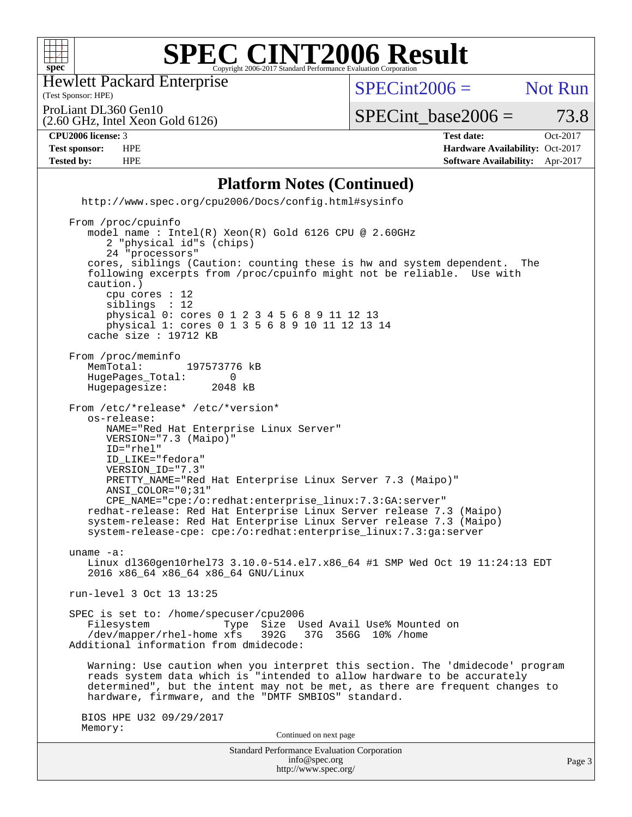

Hewlett Packard Enterprise

(2.60 GHz, Intel Xeon Gold 6126)

(Test Sponsor: HPE)

 $SPECint2006 =$  Not Run

ProLiant DL360 Gen10

 $SPECTnt\_base2006 = 73.8$ 

#### **[CPU2006 license:](http://www.spec.org/auto/cpu2006/Docs/result-fields.html#CPU2006license)** 3 **[Test date:](http://www.spec.org/auto/cpu2006/Docs/result-fields.html#Testdate)** Oct-2017

**[Test sponsor:](http://www.spec.org/auto/cpu2006/Docs/result-fields.html#Testsponsor)** HPE **[Hardware Availability:](http://www.spec.org/auto/cpu2006/Docs/result-fields.html#HardwareAvailability)** Oct-2017 **[Tested by:](http://www.spec.org/auto/cpu2006/Docs/result-fields.html#Testedby)** HPE **[Software Availability:](http://www.spec.org/auto/cpu2006/Docs/result-fields.html#SoftwareAvailability)** Apr-2017

#### **[Platform Notes \(Continued\)](http://www.spec.org/auto/cpu2006/Docs/result-fields.html#PlatformNotes)**

 <http://www.spec.org/cpu2006/Docs/config.html#sysinfo> From /proc/cpuinfo model name : Intel(R) Xeon(R) Gold 6126 CPU @ 2.60GHz 2 "physical id"s (chips) 24 "processors" cores, siblings (Caution: counting these is hw and system dependent. The following excerpts from /proc/cpuinfo might not be reliable. Use with caution.) cpu cores : 12 siblings : 12 physical 0: cores 0 1 2 3 4 5 6 8 9 11 12 13 physical 1: cores 0 1 3 5 6 8 9 10 11 12 13 14 cache size : 19712 KB From /proc/meminfo<br>MemTotal: 197573776 kB HugePages\_Total: 0<br>Hugepagesize: 2048 kB Hugepagesize: From /etc/\*release\* /etc/\*version\* os-release:

 NAME="Red Hat Enterprise Linux Server" VERSION="7.3 (Maipo)" ID="rhel" ID\_LIKE="fedora" VERSION\_ID="7.3" PRETTY\_NAME="Red Hat Enterprise Linux Server 7.3 (Maipo)" ANSI\_COLOR="0;31" CPE\_NAME="cpe:/o:redhat:enterprise\_linux:7.3:GA:server" redhat-release: Red Hat Enterprise Linux Server release 7.3 (Maipo) system-release: Red Hat Enterprise Linux Server release 7.3 (Maipo)

system-release-cpe: cpe:/o:redhat:enterprise\_linux:7.3:ga:server

 uname -a: Linux dl360gen10rhel73 3.10.0-514.el7.x86\_64 #1 SMP Wed Oct 19 11:24:13 EDT 2016 x86\_64 x86\_64 x86\_64 GNU/Linux

run-level 3 Oct 13 13:25

 SPEC is set to: /home/specuser/cpu2006 Filesystem Type Size Used Avail Use% Mounted on<br>/dev/mapper/rhel-home xfs 392G 37G 356G 10% /home  $/$ dev/mapper/rhel-home  $xfs$ Additional information from dmidecode:

 Warning: Use caution when you interpret this section. The 'dmidecode' program reads system data which is "intended to allow hardware to be accurately determined", but the intent may not be met, as there are frequent changes to hardware, firmware, and the "DMTF SMBIOS" standard.

 BIOS HPE U32 09/29/2017 Memory:

Continued on next page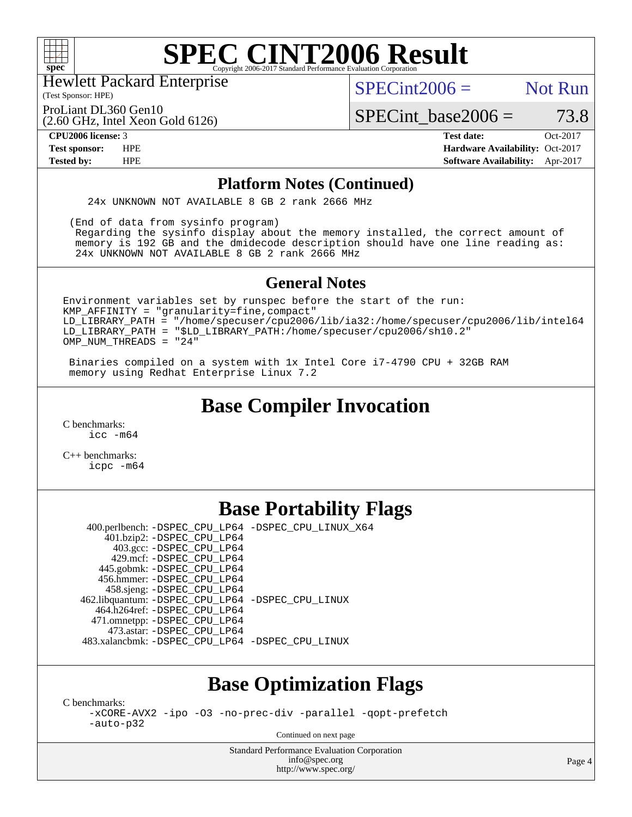

(Test Sponsor: HPE) Hewlett Packard Enterprise

 $SPECint2006 =$  Not Run

ProLiant DL360 Gen10

(2.60 GHz, Intel Xeon Gold 6126)

SPECint base2006 =  $73.8$ **[CPU2006 license:](http://www.spec.org/auto/cpu2006/Docs/result-fields.html#CPU2006license)** 3 **[Test date:](http://www.spec.org/auto/cpu2006/Docs/result-fields.html#Testdate)** Oct-2017

**[Test sponsor:](http://www.spec.org/auto/cpu2006/Docs/result-fields.html#Testsponsor)** HPE **[Hardware Availability:](http://www.spec.org/auto/cpu2006/Docs/result-fields.html#HardwareAvailability)** Oct-2017 **[Tested by:](http://www.spec.org/auto/cpu2006/Docs/result-fields.html#Testedby)** HPE **[Software Availability:](http://www.spec.org/auto/cpu2006/Docs/result-fields.html#SoftwareAvailability)** Apr-2017

#### **[Platform Notes \(Continued\)](http://www.spec.org/auto/cpu2006/Docs/result-fields.html#PlatformNotes)**

24x UNKNOWN NOT AVAILABLE 8 GB 2 rank 2666 MHz

(End of data from sysinfo program)

 Regarding the sysinfo display about the memory installed, the correct amount of memory is 192 GB and the dmidecode description should have one line reading as: 24x UNKNOWN NOT AVAILABLE 8 GB 2 rank 2666 MHz

#### **[General Notes](http://www.spec.org/auto/cpu2006/Docs/result-fields.html#GeneralNotes)**

Environment variables set by runspec before the start of the run: KMP\_AFFINITY = "granularity=fine,compact" LD\_LIBRARY\_PATH = "/home/specuser/cpu2006/lib/ia32:/home/specuser/cpu2006/lib/intel64 LD\_LIBRARY\_PATH = "\$LD\_LIBRARY\_PATH:/home/specuser/cpu2006/sh10.2"  $OMP_NUM_THREADS = "24"$ 

 Binaries compiled on a system with 1x Intel Core i7-4790 CPU + 32GB RAM memory using Redhat Enterprise Linux 7.2

## **[Base Compiler Invocation](http://www.spec.org/auto/cpu2006/Docs/result-fields.html#BaseCompilerInvocation)**

[C benchmarks](http://www.spec.org/auto/cpu2006/Docs/result-fields.html#Cbenchmarks):  $\text{icc}$   $-\text{m64}$ 

[C++ benchmarks:](http://www.spec.org/auto/cpu2006/Docs/result-fields.html#CXXbenchmarks) [icpc -m64](http://www.spec.org/cpu2006/results/res2017q4/cpu2006-20171017-50326.flags.html#user_CXXbase_intel_icpc_64bit_fc66a5337ce925472a5c54ad6a0de310)

## **[Base Portability Flags](http://www.spec.org/auto/cpu2006/Docs/result-fields.html#BasePortabilityFlags)**

 400.perlbench: [-DSPEC\\_CPU\\_LP64](http://www.spec.org/cpu2006/results/res2017q4/cpu2006-20171017-50326.flags.html#b400.perlbench_basePORTABILITY_DSPEC_CPU_LP64) [-DSPEC\\_CPU\\_LINUX\\_X64](http://www.spec.org/cpu2006/results/res2017q4/cpu2006-20171017-50326.flags.html#b400.perlbench_baseCPORTABILITY_DSPEC_CPU_LINUX_X64) 401.bzip2: [-DSPEC\\_CPU\\_LP64](http://www.spec.org/cpu2006/results/res2017q4/cpu2006-20171017-50326.flags.html#suite_basePORTABILITY401_bzip2_DSPEC_CPU_LP64) 403.gcc: [-DSPEC\\_CPU\\_LP64](http://www.spec.org/cpu2006/results/res2017q4/cpu2006-20171017-50326.flags.html#suite_basePORTABILITY403_gcc_DSPEC_CPU_LP64) 429.mcf: [-DSPEC\\_CPU\\_LP64](http://www.spec.org/cpu2006/results/res2017q4/cpu2006-20171017-50326.flags.html#suite_basePORTABILITY429_mcf_DSPEC_CPU_LP64) 445.gobmk: [-DSPEC\\_CPU\\_LP64](http://www.spec.org/cpu2006/results/res2017q4/cpu2006-20171017-50326.flags.html#suite_basePORTABILITY445_gobmk_DSPEC_CPU_LP64) 456.hmmer: [-DSPEC\\_CPU\\_LP64](http://www.spec.org/cpu2006/results/res2017q4/cpu2006-20171017-50326.flags.html#suite_basePORTABILITY456_hmmer_DSPEC_CPU_LP64) 458.sjeng: [-DSPEC\\_CPU\\_LP64](http://www.spec.org/cpu2006/results/res2017q4/cpu2006-20171017-50326.flags.html#suite_basePORTABILITY458_sjeng_DSPEC_CPU_LP64) 462.libquantum: [-DSPEC\\_CPU\\_LP64](http://www.spec.org/cpu2006/results/res2017q4/cpu2006-20171017-50326.flags.html#suite_basePORTABILITY462_libquantum_DSPEC_CPU_LP64) [-DSPEC\\_CPU\\_LINUX](http://www.spec.org/cpu2006/results/res2017q4/cpu2006-20171017-50326.flags.html#b462.libquantum_baseCPORTABILITY_DSPEC_CPU_LINUX) 464.h264ref: [-DSPEC\\_CPU\\_LP64](http://www.spec.org/cpu2006/results/res2017q4/cpu2006-20171017-50326.flags.html#suite_basePORTABILITY464_h264ref_DSPEC_CPU_LP64) 471.omnetpp: [-DSPEC\\_CPU\\_LP64](http://www.spec.org/cpu2006/results/res2017q4/cpu2006-20171017-50326.flags.html#suite_basePORTABILITY471_omnetpp_DSPEC_CPU_LP64) 473.astar: [-DSPEC\\_CPU\\_LP64](http://www.spec.org/cpu2006/results/res2017q4/cpu2006-20171017-50326.flags.html#suite_basePORTABILITY473_astar_DSPEC_CPU_LP64) 483.xalancbmk: [-DSPEC\\_CPU\\_LP64](http://www.spec.org/cpu2006/results/res2017q4/cpu2006-20171017-50326.flags.html#suite_basePORTABILITY483_xalancbmk_DSPEC_CPU_LP64) [-DSPEC\\_CPU\\_LINUX](http://www.spec.org/cpu2006/results/res2017q4/cpu2006-20171017-50326.flags.html#b483.xalancbmk_baseCXXPORTABILITY_DSPEC_CPU_LINUX)

### **[Base Optimization Flags](http://www.spec.org/auto/cpu2006/Docs/result-fields.html#BaseOptimizationFlags)**

[C benchmarks](http://www.spec.org/auto/cpu2006/Docs/result-fields.html#Cbenchmarks):

[-xCORE-AVX2](http://www.spec.org/cpu2006/results/res2017q4/cpu2006-20171017-50326.flags.html#user_CCbase_f-xCORE-AVX2) [-ipo](http://www.spec.org/cpu2006/results/res2017q4/cpu2006-20171017-50326.flags.html#user_CCbase_f-ipo) [-O3](http://www.spec.org/cpu2006/results/res2017q4/cpu2006-20171017-50326.flags.html#user_CCbase_f-O3) [-no-prec-div](http://www.spec.org/cpu2006/results/res2017q4/cpu2006-20171017-50326.flags.html#user_CCbase_f-no-prec-div) [-parallel](http://www.spec.org/cpu2006/results/res2017q4/cpu2006-20171017-50326.flags.html#user_CCbase_f-parallel) [-qopt-prefetch](http://www.spec.org/cpu2006/results/res2017q4/cpu2006-20171017-50326.flags.html#user_CCbase_f-qopt-prefetch) [-auto-p32](http://www.spec.org/cpu2006/results/res2017q4/cpu2006-20171017-50326.flags.html#user_CCbase_f-auto-p32)

Continued on next page